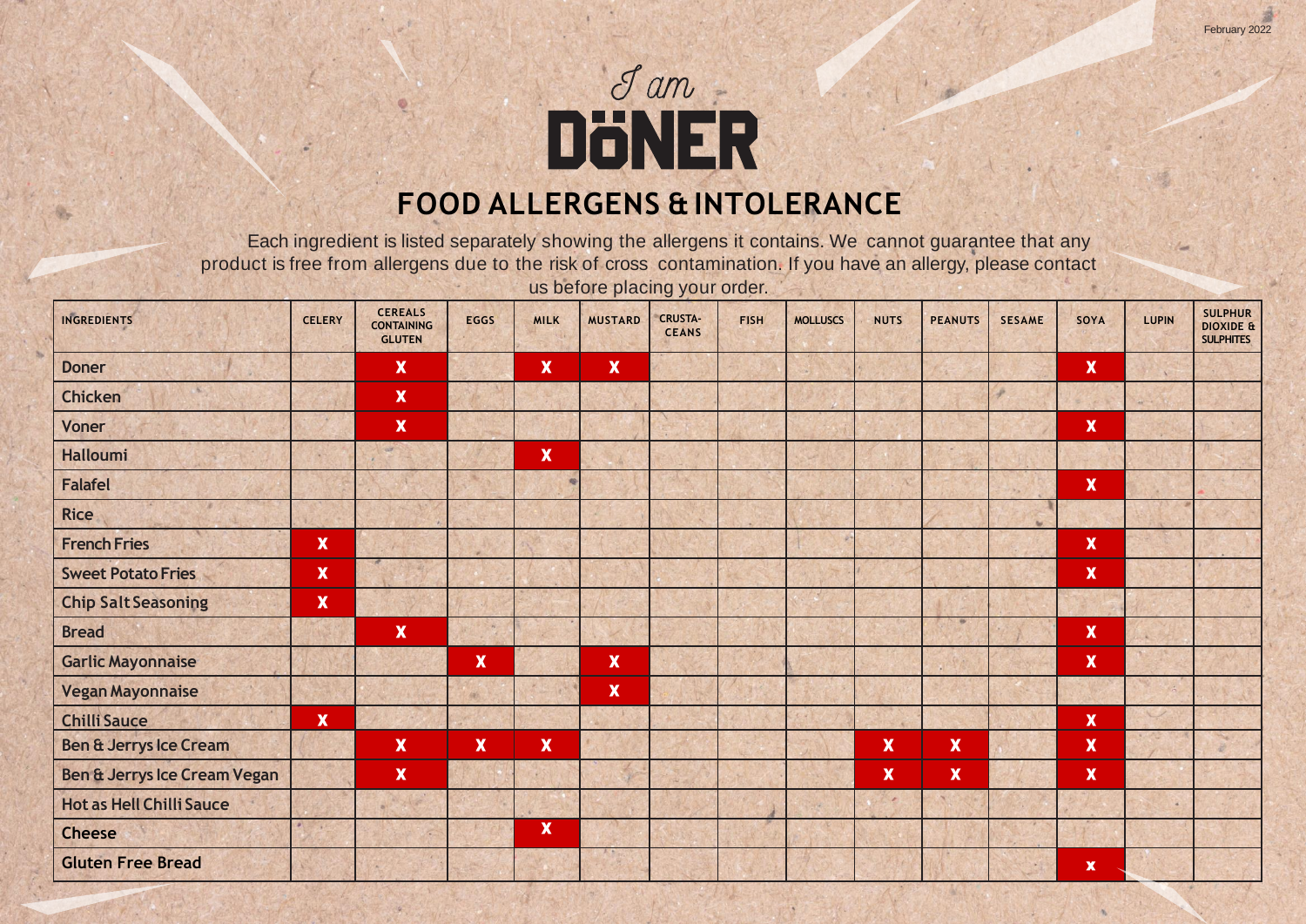# Jam<br>DÖNER **FOOD ALLERGENS & INTOLERANCE**

Each ingredient is listed separately showing the allergens it contains. We cannot guarantee that any product is free from allergens due to the risk of cross contamination. If you have an allergy, please contact us before placing your order.

| INGREDIENTS                       | <b>CELERY</b>             | <b>CEREALS</b><br><b>CONTAINING</b><br><b>GLUTEN</b> | <b>EGGS</b>               | <b>MILK</b>               | <b>MUSTARD</b>            | <b>CRUSTA-</b><br><b>CEANS</b> | <b>FISH</b> | <b>MOLLUSCS</b> | <b>NUTS</b>               | <b>PEANUTS</b> | <b>SESAME</b> | SOYA                      | <b>LUPIN</b> | <b>SULPHUR</b><br><b>DIOXIDE &amp;</b><br><b>SULPHITES</b> |
|-----------------------------------|---------------------------|------------------------------------------------------|---------------------------|---------------------------|---------------------------|--------------------------------|-------------|-----------------|---------------------------|----------------|---------------|---------------------------|--------------|------------------------------------------------------------|
| <b>Doner</b>                      |                           | $\boldsymbol{\mathsf{X}}$                            |                           | $\boldsymbol{\mathsf{X}}$ | $\boldsymbol{\mathsf{x}}$ |                                |             |                 |                           |                |               | $\pmb{\mathsf{X}}$        |              |                                                            |
| <b>Chicken</b>                    |                           | $\boldsymbol{\mathsf{X}}$                            |                           |                           |                           |                                |             |                 |                           |                |               |                           |              |                                                            |
| <b>Voner</b>                      |                           | $\boldsymbol{\mathsf{x}}$                            |                           |                           |                           |                                |             |                 |                           |                |               | $\mathbf x$               |              |                                                            |
| <b>Halloumi</b>                   |                           | is of                                                |                           | $\mathbf x$               |                           |                                |             |                 |                           |                |               |                           |              |                                                            |
| <b>Falafel</b>                    |                           |                                                      |                           |                           |                           |                                |             |                 |                           |                |               | $\pmb{\mathsf{X}}$        |              |                                                            |
| <b>Rice</b>                       |                           |                                                      |                           |                           |                           |                                |             |                 |                           |                | w             |                           |              |                                                            |
| <b>French Fries</b>               | $\mathbf x$               |                                                      |                           |                           |                           |                                |             |                 |                           |                |               | $\boldsymbol{\mathsf{X}}$ |              |                                                            |
| <b>Sweet Potato Fries</b>         | $\mathbf x$               |                                                      |                           |                           |                           |                                |             |                 |                           |                |               | $\mathbf x$               |              |                                                            |
| <b>Chip Salt Seasoning</b>        | $\mathbf x$               |                                                      |                           |                           |                           |                                |             |                 |                           |                |               |                           |              |                                                            |
| <b>Bread</b>                      |                           | $\boldsymbol{\mathsf{x}}$                            |                           |                           |                           |                                |             |                 |                           |                |               | $\pmb{\mathsf{X}}$        |              |                                                            |
| <b>Garlic Mayonnaise</b>          |                           |                                                      | $\boldsymbol{\mathsf{X}}$ |                           | $\mathbf x$               |                                |             |                 |                           |                |               | $\mathbf x$               |              |                                                            |
| <b>Vegan Mayonnaise</b>           |                           |                                                      | 46                        |                           | $\mathbf x$               |                                |             |                 |                           |                |               |                           |              |                                                            |
| <b>Chilli Sauce</b>               | $\boldsymbol{\mathsf{x}}$ |                                                      |                           |                           |                           |                                |             |                 |                           |                |               | $\mathbf x$               |              |                                                            |
| <b>Ben &amp; Jerrys Ice Cream</b> |                           | $\boldsymbol{\mathsf{X}}$                            | $\mathbf x$               | $\boldsymbol{\mathsf{X}}$ |                           |                                |             |                 | $\boldsymbol{\mathsf{X}}$ | $\mathbf x$    |               | $\pmb{\mathsf{X}}$        |              |                                                            |
| Ben & Jerrys Ice Cream Vegan      |                           | $\boldsymbol{\mathsf{x}}$                            |                           |                           |                           |                                |             |                 | $\boldsymbol{\mathsf{X}}$ | $\mathbf x$    |               | $\pmb{\mathsf{X}}$        |              |                                                            |
| <b>Hot as Hell Chilli Sauce</b>   |                           |                                                      |                           |                           |                           |                                |             |                 | ×                         |                |               |                           | $\Delta$     |                                                            |
| <b>Cheese</b>                     |                           |                                                      |                           | $\boldsymbol{\mathsf{X}}$ |                           |                                |             |                 |                           |                |               |                           |              |                                                            |
| <b>Gluten Free Bread</b>          |                           |                                                      |                           |                           |                           |                                |             |                 |                           |                |               | $\boldsymbol{\mathsf{X}}$ |              |                                                            |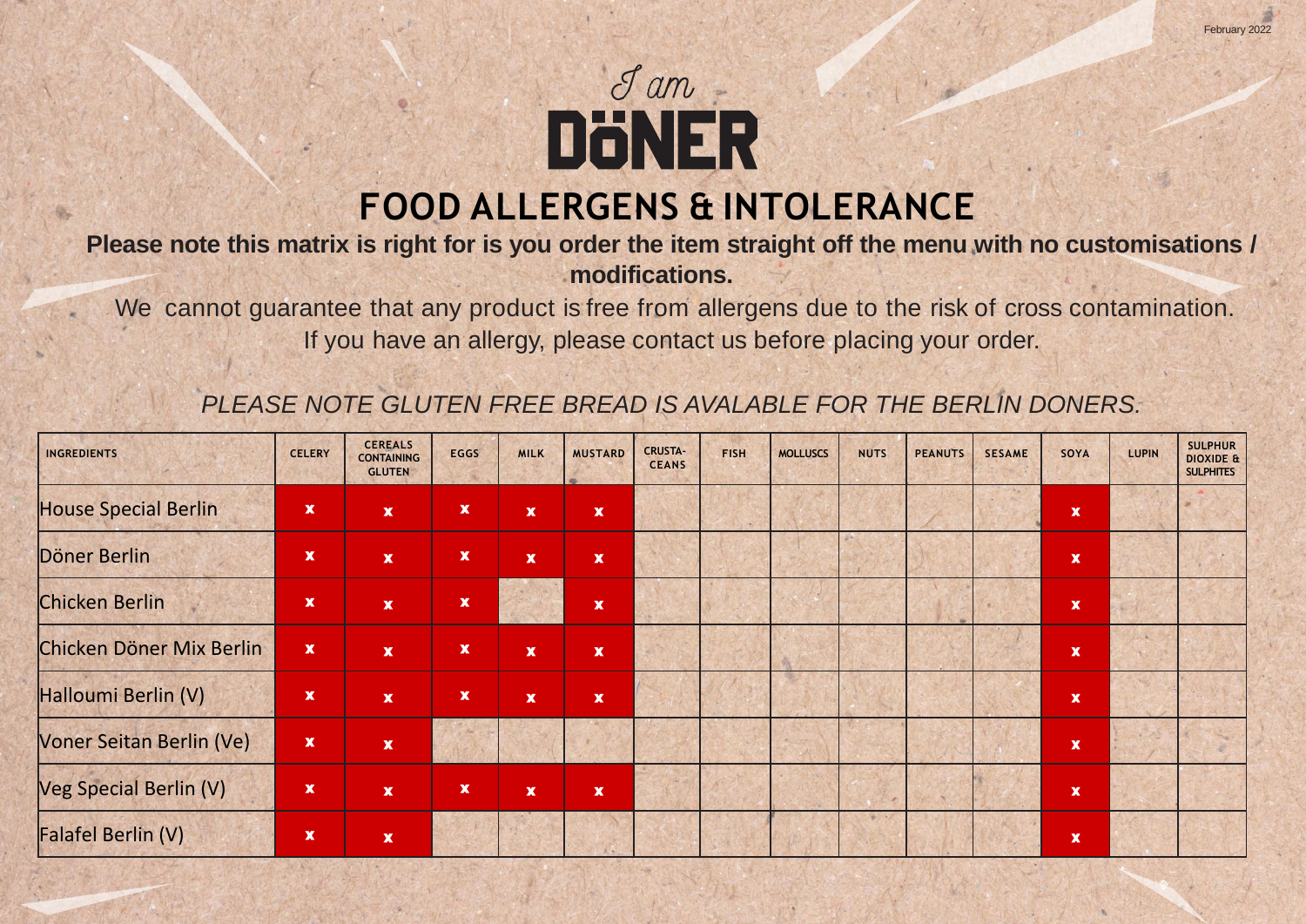

#### **Please note this matrix is right for is you order the item straight off the menu with no customisations / modifications.**

We cannot guarantee that any product is free from allergens due to the risk of cross contamination. If you have an allergy, please contact us before placing your order.

### *PLEASE NOTE GLUTEN FREE BREAD IS AVALABLE FOR THE BERLIN DONERS.*

| <b>INGREDIENTS</b>          | <b>CELERY</b>             | <b>CEREALS</b><br><b>CONTAINING</b><br><b>GLUTEN</b> | <b>EGGS</b>        | <b>MILK</b>               | <b>MUSTARD</b>              | <b>CRUSTA-</b><br><b>CEANS</b> | <b>FISH</b> | <b>MOLLUSCS</b> | <b>NUTS</b> | <b>PEANUTS</b> | <b>SESAME</b> | SOYA                      | <b>LUPIN</b> | <b>SULPHUR</b><br><b>DIOXIDE &amp;</b><br><b>SULPHITES</b> |
|-----------------------------|---------------------------|------------------------------------------------------|--------------------|---------------------------|-----------------------------|--------------------------------|-------------|-----------------|-------------|----------------|---------------|---------------------------|--------------|------------------------------------------------------------|
| <b>House Special Berlin</b> | $\mathbf x$               | $\mathbf{x}$                                         | $\mathbf x$        | $\boldsymbol{\mathsf{x}}$ | $\mathbf{x}$                |                                |             |                 |             |                |               | $\boldsymbol{\mathsf{X}}$ |              |                                                            |
| Döner Berlin                | $\mathbf x$               | $\mathbf{x}$                                         | $\pmb{\mathsf{x}}$ | $\boldsymbol{\mathsf{x}}$ | $\mathbf{x}$                |                                |             |                 |             |                |               | $\mathbf x$               |              |                                                            |
| <b>Chicken Berlin</b>       | $\boldsymbol{\mathsf{X}}$ | $\mathbf{x}$                                         | $\pmb{\mathsf{x}}$ |                           | $\mathbf{x}$                |                                |             |                 |             |                |               | $\mathbf{x}$              |              |                                                            |
| Chicken Döner Mix Berlin    | $\boldsymbol{\mathrm{x}}$ | $\mathbf{x}$                                         | $\pmb{\mathsf{x}}$ | $\mathbf x$               | $\mathbf x$                 |                                |             |                 |             |                |               | $\mathbf x$               |              |                                                            |
| Halloumi Berlin (V)         | $\mathbf x$               | $\mathbf{x}$                                         | $\pmb{\mathsf{x}}$ | $\boldsymbol{\mathsf{x}}$ | $\mathbf{x}$                |                                |             |                 |             |                |               | $\pmb{\mathsf{x}}$        |              |                                                            |
| Voner Seitan Berlin (Ve)    | $\boldsymbol{\mathsf{X}}$ | $\mathbf{x}$                                         |                    |                           |                             |                                |             |                 |             |                |               | $\boldsymbol{\mathsf{X}}$ |              |                                                            |
| Veg Special Berlin (V)      | $\pmb{\mathsf{x}}$        | $\mathbf{x}$                                         | $\pmb{\mathsf{x}}$ | $\boldsymbol{\mathsf{x}}$ | $\mathbf x$                 |                                |             |                 |             |                |               | $\pmb{\mathsf{x}}$        |              |                                                            |
| Falafel Berlin (V)          | $\mathbf x$               | $\mathbf{x}$                                         |                    |                           | $\mathcal{L} = \mathcal{L}$ |                                |             |                 | ありいん        |                |               | $\pmb{\mathsf{x}}$        |              |                                                            |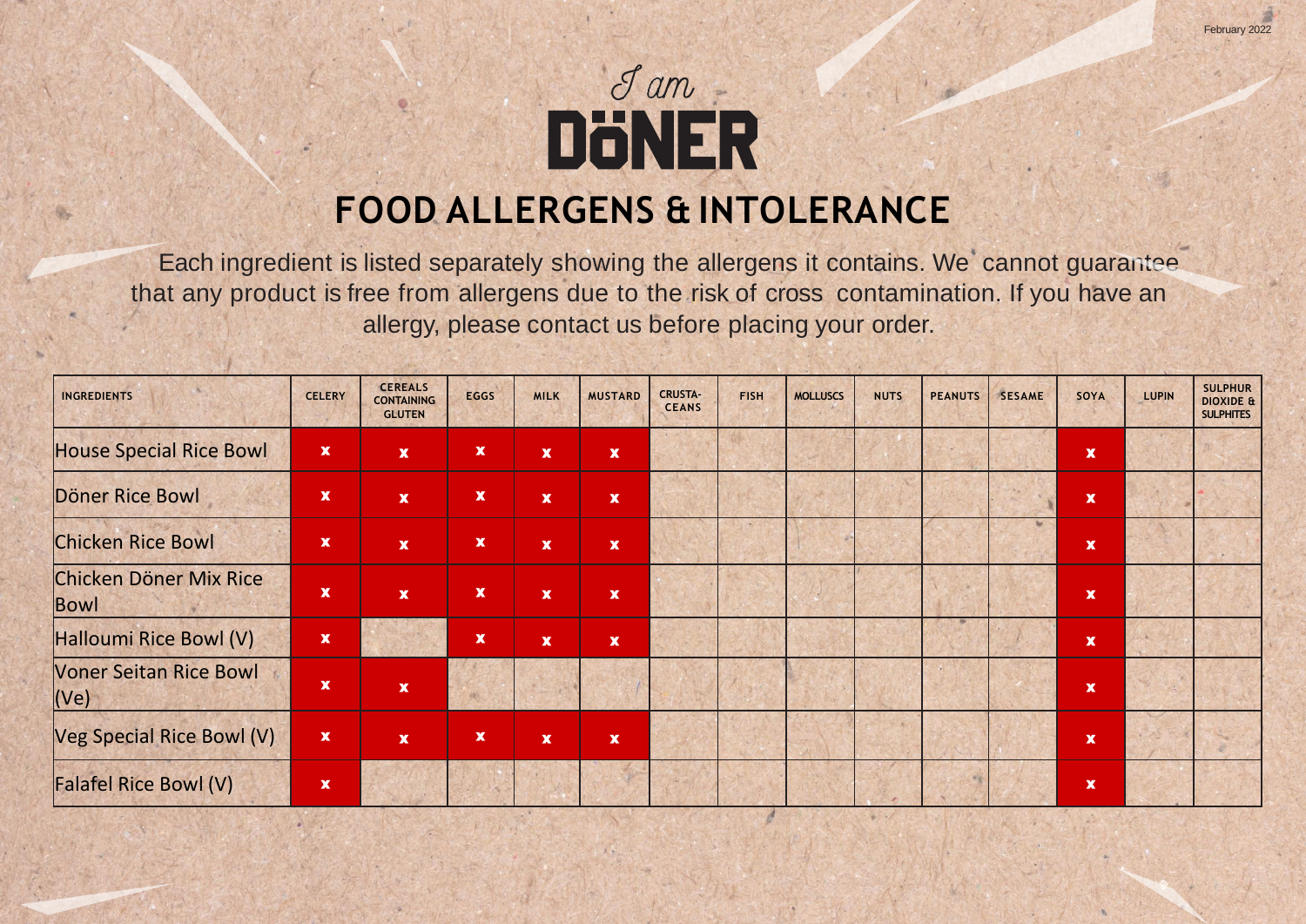

Each ingredient is listed separately showing the allergens it contains. We cannot guarantee that any product is free from allergens due to the risk of cross contamination. If you have an allergy, please contact us before placing your order.

| <b>INGREDIENTS</b>                             | <b>CELERY</b>             | <b>CEREALS</b><br><b>CONTAINING</b><br><b>GLUTEN</b> | <b>EGGS</b>        | <b>MILK</b>        | <b>MUSTARD</b>     | <b>CRUSTA-</b><br><b>CEANS</b> | <b>FISH</b> | <b>MOLLUSCS</b> | <b>NUTS</b> | <b>PEANUTS</b> | <b>SESAME</b> | SOYA               | LUPIN | <b>SULPHUR</b><br><b>DIOXIDE &amp;</b><br><b>SULPHITES</b> |
|------------------------------------------------|---------------------------|------------------------------------------------------|--------------------|--------------------|--------------------|--------------------------------|-------------|-----------------|-------------|----------------|---------------|--------------------|-------|------------------------------------------------------------|
| <b>House Special Rice Bowl</b>                 | $\mathbf x$               | $\mathbf x$                                          | $\pmb{\mathsf{x}}$ | $\pmb{\mathsf{x}}$ | $\mathbf x$        |                                |             |                 |             |                |               | $\mathbf x$        |       |                                                            |
| Döner Rice Bowl                                | $\mathbf x$               | $\mathbf x$                                          | $\mathbf x$        | $\mathbf x$        | $\pmb{\mathsf{x}}$ |                                |             |                 |             |                |               | $\mathbf x$        |       |                                                            |
| <b>Chicken Rice Bowl</b>                       | $\boldsymbol{\mathsf{X}}$ | $\mathbf x$                                          | $\pmb{\mathsf{x}}$ | $\mathbf x$        | $\mathbf x$        |                                |             |                 |             |                |               | $\mathbf x$        |       |                                                            |
| Chicken Döner Mix Rice<br>Bowl                 | $\mathbf x$               | $\mathbf{x}$                                         | $\mathbf x$        | $\mathbf x$        | $\pmb{\mathsf{x}}$ |                                |             |                 |             |                |               | $\pmb{\mathsf{x}}$ |       |                                                            |
| Halloumi Rice Bowl (V)                         | $\pmb{\mathsf{x}}$        |                                                      | $\pmb{\mathsf{x}}$ | $\pmb{\mathsf{x}}$ | $\pmb{\mathsf{x}}$ |                                |             |                 |             |                |               | $\pmb{\mathsf{x}}$ |       |                                                            |
| <b>Voner Seitan Rice Bowl</b><br>( <b>Ve</b> ) | $\boldsymbol{\mathsf{X}}$ | $\mathbf x$                                          | 瘢                  |                    |                    |                                |             |                 |             |                |               | $\mathbf x$        |       |                                                            |
| Veg Special Rice Bowl (V)                      | $\mathbf x$               | $\mathbf{x}$                                         | $\pmb{\mathsf{x}}$ | $\mathbf x$        | $\mathbf x$        |                                |             |                 |             |                |               | $\mathbf x$        |       |                                                            |
| <b>Falafel Rice Bowl (V)</b>                   | $\mathbf x$               |                                                      |                    |                    |                    |                                |             |                 |             |                |               | $\pmb{\mathsf{x}}$ |       |                                                            |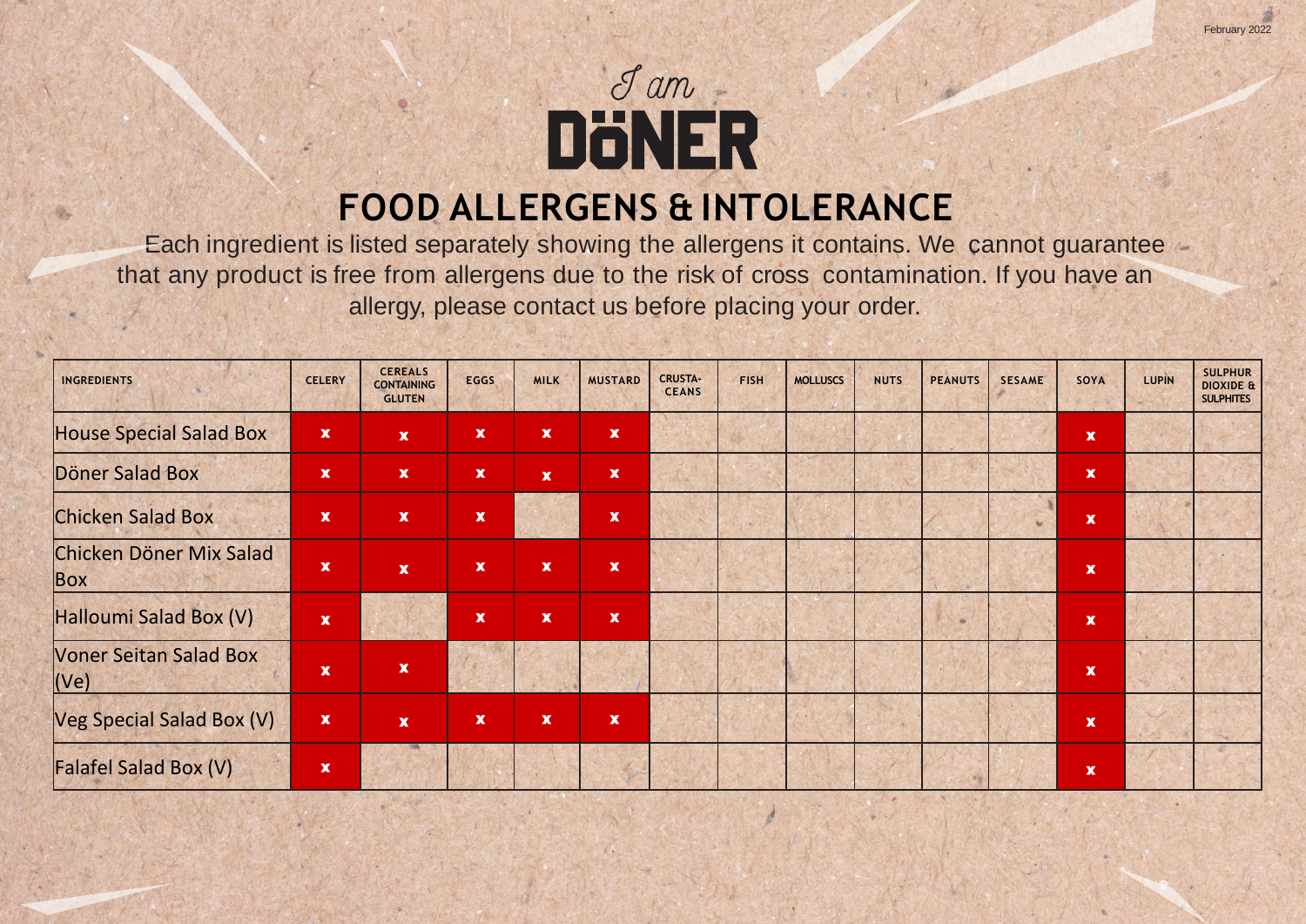

Each ingredient is listed separately showing the allergens it contains. We cannot guarantee that any product is free from allergens due to the risk of cross contamination. If you have an allergy, please contact us before placing your order.

| <b>INGREDIENTS</b>                    | <b>CELERY</b>             | <b>CEREALS</b><br><b>CONTAINING</b><br><b>GLUTEN</b> | <b>EGGS</b>        | <b>MILK</b>               | <b>MUSTARD</b>            | <b>CRUSTA-</b><br><b>CEANS</b> | <b>FISH</b> | <b>MOLLUSCS</b> | <b>NUTS</b> | <b>PEANUTS</b> | <b>SESAME</b> | SOYA                      | LUPIN | <b>SULPHUR</b><br><b>DIOXIDE &amp;</b><br><b>SULPHITES</b> |
|---------------------------------------|---------------------------|------------------------------------------------------|--------------------|---------------------------|---------------------------|--------------------------------|-------------|-----------------|-------------|----------------|---------------|---------------------------|-------|------------------------------------------------------------|
| <b>House Special Salad Box</b>        | $\pmb{\mathsf{x}}$        | $\mathbf{x}$                                         | $\pmb{\mathsf{x}}$ | $\boldsymbol{\mathsf{x}}$ | $\mathbf x$               |                                |             |                 |             |                |               | $\pmb{\mathsf{x}}$        |       |                                                            |
| Döner Salad Box                       | $\pmb{\mathsf{x}}$        | $\mathbf{x}$                                         | $\pmb{\mathsf{x}}$ | $\mathbf{x}$              | $\mathbf x$               |                                |             |                 |             |                |               | $\pmb{\mathsf{x}}$        |       |                                                            |
| <b>Chicken Salad Box</b>              | $\mathbf x$               | $\mathbf{x}$                                         | $\pmb{\mathsf{x}}$ |                           | $\boldsymbol{\mathsf{X}}$ |                                |             |                 |             |                |               | $\mathbf x$               |       |                                                            |
| Chicken Döner Mix Salad<br>Box        | $\boldsymbol{\mathsf{x}}$ | $\mathbf{x}$                                         | $\pmb{\mathsf{x}}$ | $\pmb{\mathsf{x}}$        | $\mathbf x$               |                                |             |                 |             |                |               | $\mathbf{x}$              |       |                                                            |
| Halloumi Salad Box (V)                | $\pmb{\mathsf{x}}$        |                                                      | $\mathbf x$        | $\mathbf x$               | $\mathbf x$               |                                |             |                 |             | <b>SE</b>      |               | $\mathbf x$               |       |                                                            |
| <b>Voner Seitan Salad Box</b><br>(Ve) | $\boldsymbol{\mathsf{x}}$ | $\mathbf x$                                          |                    |                           |                           |                                |             |                 |             |                |               | $\pmb{\mathsf{x}}$        |       |                                                            |
| Veg Special Salad Box (V)             | $\pmb{\mathsf{x}}$        | $\mathbf{x}$                                         | $\pmb{\mathsf{x}}$ | $\mathbf x$               | $\pmb{\mathsf{x}}$        |                                |             |                 |             |                |               | $\pmb{\mathsf{x}}$        |       |                                                            |
| <b>Falafel Salad Box (V)</b>          | $\mathbf x$               |                                                      |                    |                           |                           |                                |             |                 |             | 书店             |               | $\boldsymbol{\mathsf{X}}$ |       |                                                            |